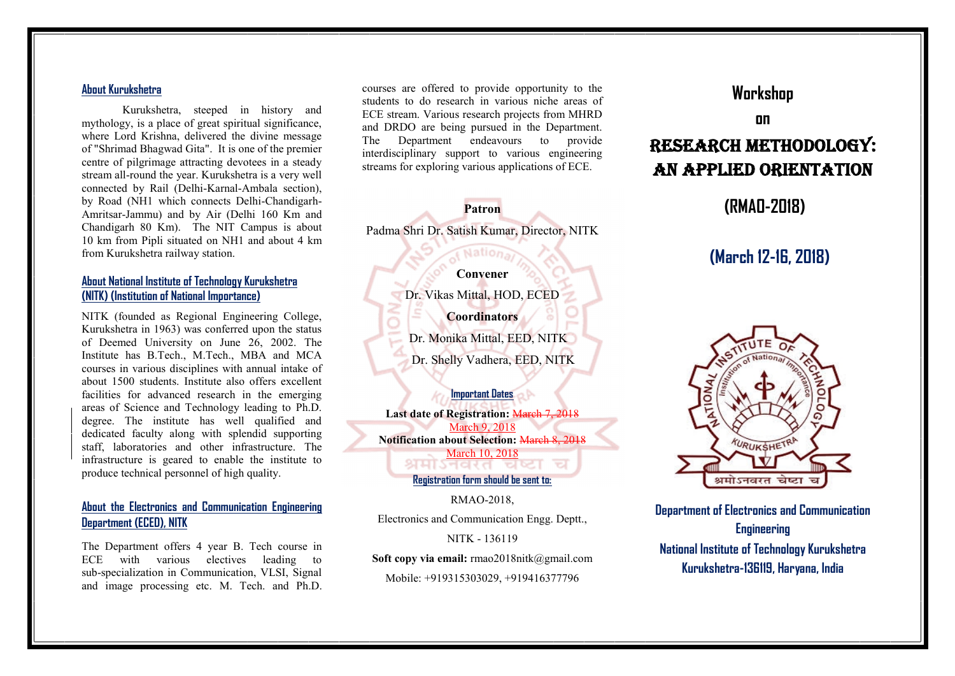#### **About Kurukshetra**

Kurukshetra, steeped in history and mythology, is a place of great spiritual significance, where Lord Krishna, delivered the divine message of "Shrimad Bhagwad Gita". It is one of the premier centre of pilgrimage attracting devotees in a steady stream all-round the year. Kurukshetra is a very well connected by Rail (Delhi-Karnal-Ambala section), by Road (NH1 which connects Delhi-Chandigarh- Amritsar-Jammu) and by Air (Delhi 160 Km and Chandigarh 80 Km). The NIT Campus is about 10 km from Pipli situated on NH1 and about 4 km from Kurukshetra railway station.

### **About National Institute of Technology Kurukshetra (NITK) (Institution of National Importance)**

NITK (founded as Regional Engineering College, Kurukshetra in 1963) was conferred upon the status of Deemed University on June 26, 2002. The Institute has B.Tech., M.Tech., MBA and MCA courses in various disciplines with annual intake of about 1500 students. Institute also offers excellent facilities for advanced research in the emerging areas of Science and Technology leading to Ph.D. degree. The institute has well qualified and dedicated faculty along with splendid supporting staff, laboratories and other infrastructure. The infrastructure is geared to enable the institute to produce technical personnel of high quality.

# **About the Electronics and Communication Engineering Department (ECED), NITK**

The Department offers 4 year B. Tech course in ECE with various electives leading to sub-specialization in Communication, VLSI, Signal and image processing etc. M. Tech. and Ph.D.

courses are offered to provide opportunity to the students to do research in various niche areas of ECE stream. Various research projects from MHRD and DRDO are being pursued in the Department. The Department endeavours to provide interdisciplinary support to various engineering streams for exploring various applications of ECE.

**Patron** Padma Shri Dr. Satish Kumar, Director, NITK

## **Convener**

Dr. Vikas Mittal, HOD, ECED **Coordinators** Dr. Monika Mittal, EED, NITK

Dr. Shelly Vadhera, EED, NITK

**Important Dates Last date of Registration:** March 7, 2018 March 9, 2018 **Notification about Selection:** March 8, 2018 <u>March 10, 2018</u>

**Registration form should be sent to:**

RMAO-2018, Electronics and Communication Engg. Deptt.,

NITK - 136119

**Soft copy via email:** rmao2018nitk@gmail.com Mobile: +919315303029, +919416377796

# **Workshop**

**on**

# **Research methodology: An Applied Orientation**

# **(RMAO-2018)**

# **(March 12-16, 2018)**



**Department of Electronics and Communication Engineering National Institute of Technology Kurukshetra Kurukshetra-136119, Haryana, India**